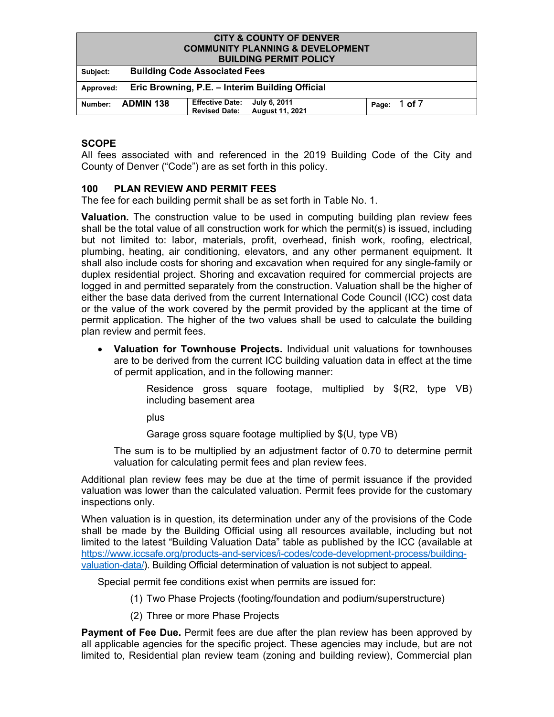#### **CITY & COUNTY OF DENVER COMMUNITY PLANNING & DEVELOPMENT BUILDING PERMIT POLICY**

|           | <b>BUILDING FERMIT FULICT</b>                   |                                                      |                        |  |                  |  |
|-----------|-------------------------------------------------|------------------------------------------------------|------------------------|--|------------------|--|
| Subject:  |                                                 | <b>Building Code Associated Fees</b>                 |                        |  |                  |  |
| Approved: | Eric Browning, P.E. – Interim Building Official |                                                      |                        |  |                  |  |
| Number:   | <b>ADMIN 138</b>                                | Effective Date: July 6, 2011<br><b>Revised Date:</b> | <b>August 11, 2021</b> |  | Page: $1$ of $7$ |  |

## **SCOPE**

All fees associated with and referenced in the 2019 Building Code of the City and County of Denver ("Code") are as set forth in this policy.

## **100 PLAN REVIEW AND PERMIT FEES**

The fee for each building permit shall be as set forth in Table No. 1.

**Valuation.** The construction value to be used in computing building plan review fees shall be the total value of all construction work for which the permit(s) is issued, including but not limited to: labor, materials, profit, overhead, finish work, roofing, electrical, plumbing, heating, air conditioning, elevators, and any other permanent equipment. It shall also include costs for shoring and excavation when required for any single-family or duplex residential project. Shoring and excavation required for commercial projects are logged in and permitted separately from the construction. Valuation shall be the higher of either the base data derived from the current International Code Council (ICC) cost data or the value of the work covered by the permit provided by the applicant at the time of permit application. The higher of the two values shall be used to calculate the building plan review and permit fees.

• **Valuation for Townhouse Projects.** Individual unit valuations for townhouses are to be derived from the current ICC building valuation data in effect at the time of permit application, and in the following manner:

> Residence gross square footage, multiplied by \$(R2, type VB) including basement area

plus

Garage gross square footage multiplied by \$(U, type VB)

The sum is to be multiplied by an adjustment factor of 0.70 to determine permit valuation for calculating permit fees and plan review fees.

Additional plan review fees may be due at the time of permit issuance if the provided valuation was lower than the calculated valuation. Permit fees provide for the customary inspections only.

When valuation is in question, its determination under any of the provisions of the Code shall be made by the Building Official using all resources available, including but not limited to the latest "Building Valuation Data" table as published by the ICC (available at [https://www.iccsafe.org/products-and-services/i-codes/code-development-process/building](https://www.iccsafe.org/products-and-services/i-codes/code-development-process/building-valuation-data/)[valuation-data/\)](https://www.iccsafe.org/products-and-services/i-codes/code-development-process/building-valuation-data/). Building Official determination of valuation is not subject to appeal.

Special permit fee conditions exist when permits are issued for:

- (1) Two Phase Projects (footing/foundation and podium/superstructure)
- (2) Three or more Phase Projects

**Payment of Fee Due.** Permit fees are due after the plan review has been approved by all applicable agencies for the specific project. These agencies may include, but are not limited to, Residential plan review team (zoning and building review), Commercial plan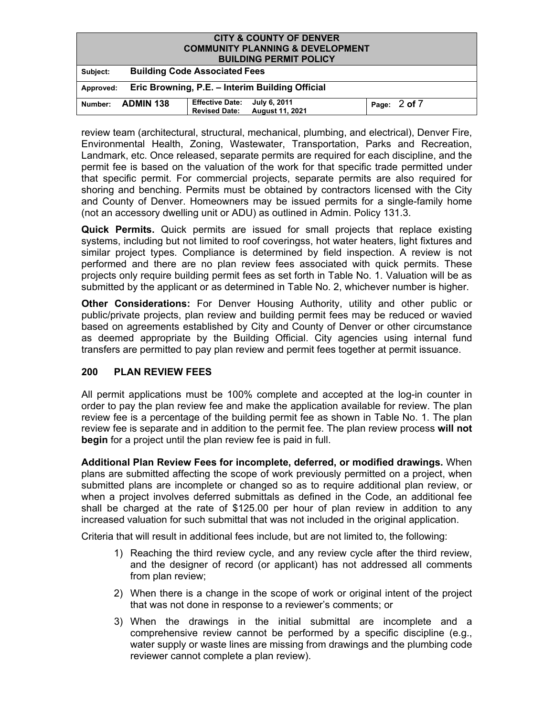| <b>CITY &amp; COUNTY OF DENVER</b>                           |                                      |                                                |                                             |  |              |
|--------------------------------------------------------------|--------------------------------------|------------------------------------------------|---------------------------------------------|--|--------------|
|                                                              |                                      |                                                | <b>COMMUNITY PLANNING &amp; DEVELOPMENT</b> |  |              |
|                                                              |                                      |                                                | <b>BUILDING PERMIT POLICY</b>               |  |              |
| Subject:                                                     | <b>Building Code Associated Fees</b> |                                                |                                             |  |              |
| Eric Browning, P.E. - Interim Building Official<br>Approved: |                                      |                                                |                                             |  |              |
| Number:                                                      | <b>ADMIN 138</b>                     | <b>Effective Date:</b><br><b>Revised Date:</b> | July 6, 2011<br>August 11, 2021             |  | Page: 2 of 7 |

review team (architectural, structural, mechanical, plumbing, and electrical), Denver Fire, Environmental Health, Zoning, Wastewater, Transportation, Parks and Recreation, Landmark, etc. Once released, separate permits are required for each discipline, and the permit fee is based on the valuation of the work for that specific trade permitted under that specific permit. For commercial projects, separate permits are also required for shoring and benching. Permits must be obtained by contractors licensed with the City and County of Denver. Homeowners may be issued permits for a single-family home (not an accessory dwelling unit or ADU) as outlined in Admin. Policy 131.3.

**Quick Permits.** Quick permits are issued for small projects that replace existing systems, including but not limited to roof coveringss, hot water heaters, light fixtures and similar project types. Compliance is determined by field inspection. A review is not performed and there are no plan review fees associated with quick permits. These projects only require building permit fees as set forth in Table No. 1. Valuation will be as submitted by the applicant or as determined in Table No. 2, whichever number is higher.

**Other Considerations:** For Denver Housing Authority, utility and other public or public/private projects, plan review and building permit fees may be reduced or wavied based on agreements established by City and County of Denver or other circumstance as deemed appropriate by the Building Official. City agencies using internal fund transfers are permitted to pay plan review and permit fees together at permit issuance.

## **200 PLAN REVIEW FEES**

All permit applications must be 100% complete and accepted at the log-in counter in order to pay the plan review fee and make the application available for review. The plan review fee is a percentage of the building permit fee as shown in Table No. 1. The plan review fee is separate and in addition to the permit fee. The plan review process **will not begin** for a project until the plan review fee is paid in full.

**Additional Plan Review Fees for incomplete, deferred, or modified drawings.** When plans are submitted affecting the scope of work previously permitted on a project, when submitted plans are incomplete or changed so as to require additional plan review, or when a project involves deferred submittals as defined in the Code, an additional fee shall be charged at the rate of \$125.00 per hour of plan review in addition to any increased valuation for such submittal that was not included in the original application.

Criteria that will result in additional fees include, but are not limited to, the following:

- 1) Reaching the third review cycle, and any review cycle after the third review, and the designer of record (or applicant) has not addressed all comments from plan review;
- 2) When there is a change in the scope of work or original intent of the project that was not done in response to a reviewer's comments; or
- 3) When the drawings in the initial submittal are incomplete and a comprehensive review cannot be performed by a specific discipline (e.g., water supply or waste lines are missing from drawings and the plumbing code reviewer cannot complete a plan review).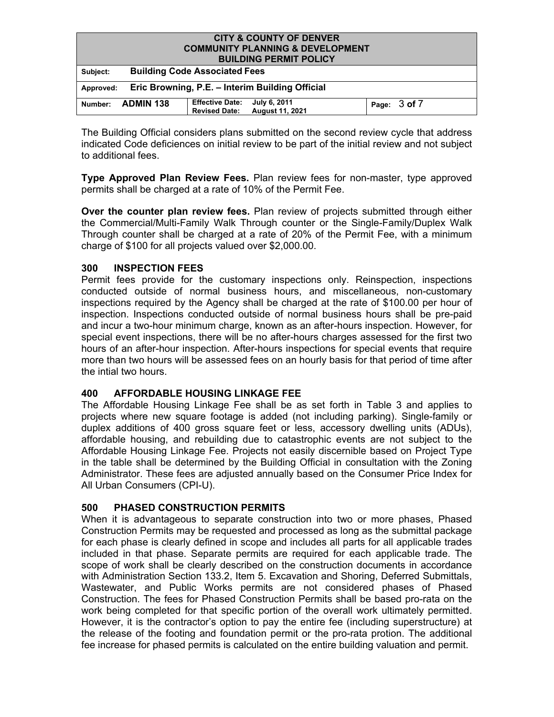| <b>CITY &amp; COUNTY OF DENVER</b><br><b>COMMUNITY PLANNING &amp; DEVELOPMENT</b><br><b>BUILDING PERMIT POLICY</b> |                                      |                                                |                                        |  |              |
|--------------------------------------------------------------------------------------------------------------------|--------------------------------------|------------------------------------------------|----------------------------------------|--|--------------|
| Subject:                                                                                                           | <b>Building Code Associated Fees</b> |                                                |                                        |  |              |
| Eric Browning, P.E. - Interim Building Official<br>Approved:                                                       |                                      |                                                |                                        |  |              |
| Number:                                                                                                            | <b>ADMIN 138</b>                     | <b>Effective Date:</b><br><b>Revised Date:</b> | July 6, 2011<br><b>August 11, 2021</b> |  | Page: 3 of 7 |

The Building Official considers plans submitted on the second review cycle that address indicated Code deficiences on initial review to be part of the initial review and not subject to additional fees.

**Type Approved Plan Review Fees.** Plan review fees for non-master, type approved permits shall be charged at a rate of 10% of the Permit Fee.

**Over the counter plan review fees.** Plan review of projects submitted through either the Commercial/Multi-Family Walk Through counter or the Single-Family/Duplex Walk Through counter shall be charged at a rate of 20% of the Permit Fee, with a minimum charge of \$100 for all projects valued over \$2,000.00.

## **300 INSPECTION FEES**

Permit fees provide for the customary inspections only. Reinspection, inspections conducted outside of normal business hours, and miscellaneous, non-customary inspections required by the Agency shall be charged at the rate of \$100.00 per hour of inspection. Inspections conducted outside of normal business hours shall be pre-paid and incur a two-hour minimum charge, known as an after-hours inspection. However, for special event inspections, there will be no after-hours charges assessed for the first two hours of an after-hour inspection. After-hours inspections for special events that require more than two hours will be assessed fees on an hourly basis for that period of time after the intial two hours.

## **400 AFFORDABLE HOUSING LINKAGE FEE**

The Affordable Housing Linkage Fee shall be as set forth in Table 3 and applies to projects where new square footage is added (not including parking). Single-family or duplex additions of 400 gross square feet or less, accessory dwelling units (ADUs), affordable housing, and rebuilding due to catastrophic events are not subject to the Affordable Housing Linkage Fee. Projects not easily discernible based on Project Type in the table shall be determined by the Building Official in consultation with the Zoning Administrator. These fees are adjusted annually based on the Consumer Price Index for All Urban Consumers (CPI-U).

## **500 PHASED CONSTRUCTION PERMITS**

When it is advantageous to separate construction into two or more phases, Phased Construction Permits may be requested and processed as long as the submittal package for each phase is clearly defined in scope and includes all parts for all applicable trades included in that phase. Separate permits are required for each applicable trade. The scope of work shall be clearly described on the construction documents in accordance with Administration Section 133.2, Item 5. Excavation and Shoring, Deferred Submittals, Wastewater, and Public Works permits are not considered phases of Phased Construction. The fees for Phased Construction Permits shall be based pro-rata on the work being completed for that specific portion of the overall work ultimately permitted. However, it is the contractor's option to pay the entire fee (including superstructure) at the release of the footing and foundation permit or the pro-rata protion. The additional fee increase for phased permits is calculated on the entire building valuation and permit.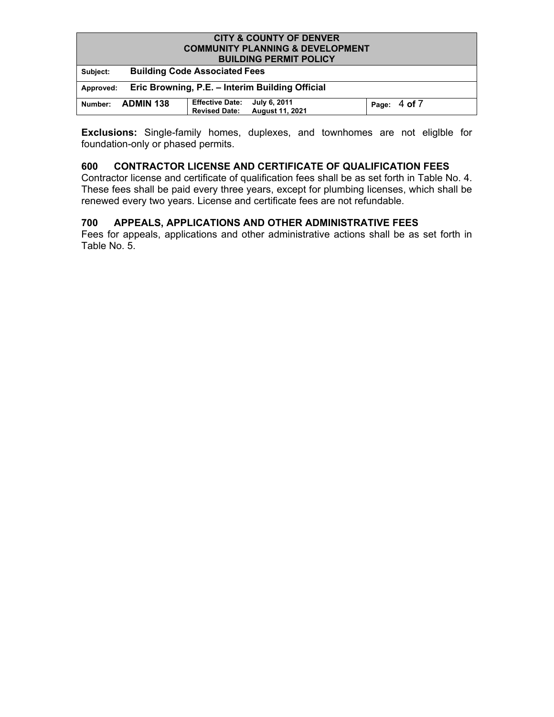| <b>CITY &amp; COUNTY OF DENVER</b><br><b>COMMUNITY PLANNING &amp; DEVELOPMENT</b><br><b>BUILDING PERMIT POLICY</b> |                                      |                                                |                                        |  |                  |
|--------------------------------------------------------------------------------------------------------------------|--------------------------------------|------------------------------------------------|----------------------------------------|--|------------------|
| Subject:                                                                                                           | <b>Building Code Associated Fees</b> |                                                |                                        |  |                  |
| Eric Browning, P.E. - Interim Building Official<br>Approved:                                                       |                                      |                                                |                                        |  |                  |
| Number:                                                                                                            | <b>ADMIN 138</b>                     | <b>Effective Date:</b><br><b>Revised Date:</b> | July 6, 2011<br><b>August 11, 2021</b> |  | Page: $4$ of $7$ |

**Exclusions:** Single-family homes, duplexes, and townhomes are not eliglble for foundation-only or phased permits.

## **600 CONTRACTOR LICENSE AND CERTIFICATE OF QUALIFICATION FEES**

Contractor license and certificate of qualification fees shall be as set forth in Table No. 4. These fees shall be paid every three years, except for plumbing licenses, which shall be renewed every two years. License and certificate fees are not refundable.

## **700 APPEALS, APPLICATIONS AND OTHER ADMINISTRATIVE FEES**

Fees for appeals, applications and other administrative actions shall be as set forth in Table No. 5.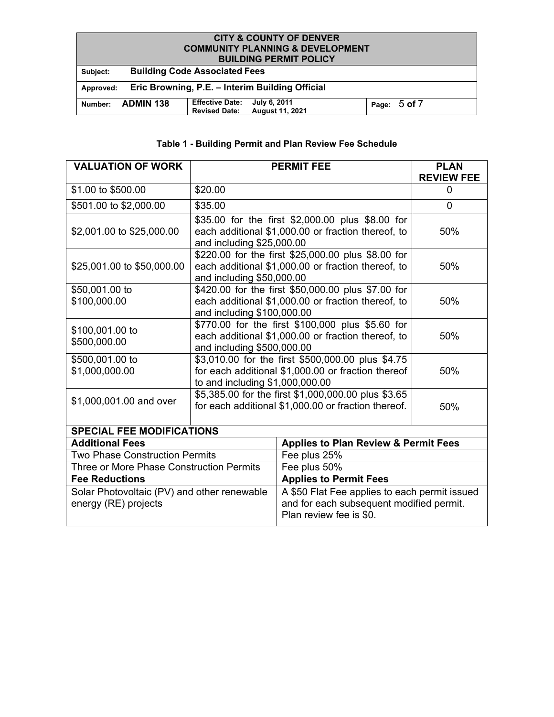#### **CITY & COUNTY OF DENVER COMMUNITY PLANNING & DEVELOPMENT BUILDING PERMIT POLICY**

| <b>DUILDING FERMIT FULIVI</b> |                                                              |                                                |                                        |  |              |  |
|-------------------------------|--------------------------------------------------------------|------------------------------------------------|----------------------------------------|--|--------------|--|
| Subject:                      |                                                              | <b>Building Code Associated Fees</b>           |                                        |  |              |  |
|                               | Eric Browning, P.E. – Interim Building Official<br>Approved: |                                                |                                        |  |              |  |
| Number:                       | <b>ADMIN 138</b>                                             | <b>Effective Date:</b><br><b>Revised Date:</b> | July 6, 2011<br><b>August 11, 2021</b> |  | Page: 5 of 7 |  |

# **Table 1 - Building Permit and Plan Review Fee Schedule**

| <b>VALUATION OF WORK</b>                                            | <b>PERMIT FEE</b>                                                                                                                          |                                                                                                                      | <b>PLAN</b><br><b>REVIEW FEE</b> |  |  |
|---------------------------------------------------------------------|--------------------------------------------------------------------------------------------------------------------------------------------|----------------------------------------------------------------------------------------------------------------------|----------------------------------|--|--|
| \$1.00 to \$500.00                                                  | \$20.00                                                                                                                                    |                                                                                                                      | 0                                |  |  |
| \$501.00 to \$2,000.00                                              | \$35.00                                                                                                                                    |                                                                                                                      | 0                                |  |  |
| \$2,001.00 to \$25,000.00                                           | \$35.00 for the first \$2,000.00 plus \$8.00 for<br>each additional \$1,000.00 or fraction thereof, to<br>and including \$25,000.00        | 50%                                                                                                                  |                                  |  |  |
| \$25,001.00 to \$50,000.00                                          | and including \$50,000.00                                                                                                                  | \$220.00 for the first \$25,000.00 plus \$8.00 for<br>each additional \$1,000.00 or fraction thereof, to             | 50%                              |  |  |
| \$50,001.00 to<br>\$100,000.00                                      | \$420.00 for the first \$50,000.00 plus \$7.00 for<br>each additional \$1,000.00 or fraction thereof, to<br>and including \$100,000.00     | 50%                                                                                                                  |                                  |  |  |
| \$100,001.00 to<br>\$500,000.00                                     | and including \$500,000.00                                                                                                                 | \$770.00 for the first \$100,000 plus \$5.60 for<br>each additional \$1,000.00 or fraction thereof, to               | 50%                              |  |  |
| \$500,001.00 to<br>\$1,000,000.00                                   | \$3,010.00 for the first \$500,000.00 plus \$4.75<br>for each additional \$1,000.00 or fraction thereof<br>to and including \$1,000,000.00 | 50%                                                                                                                  |                                  |  |  |
| \$1,000,001.00 and over                                             | \$5,385.00 for the first \$1,000,000.00 plus \$3.65<br>for each additional \$1,000.00 or fraction thereof.                                 | 50%                                                                                                                  |                                  |  |  |
| <b>SPECIAL FEE MODIFICATIONS</b>                                    |                                                                                                                                            |                                                                                                                      |                                  |  |  |
| <b>Additional Fees</b>                                              |                                                                                                                                            | <b>Applies to Plan Review &amp; Permit Fees</b>                                                                      |                                  |  |  |
| <b>Two Phase Construction Permits</b>                               |                                                                                                                                            | Fee plus 25%                                                                                                         |                                  |  |  |
| Three or More Phase Construction Permits                            |                                                                                                                                            | Fee plus 50%                                                                                                         |                                  |  |  |
| <b>Fee Reductions</b>                                               |                                                                                                                                            | <b>Applies to Permit Fees</b>                                                                                        |                                  |  |  |
| Solar Photovoltaic (PV) and other renewable<br>energy (RE) projects |                                                                                                                                            | A \$50 Flat Fee applies to each permit issued<br>and for each subsequent modified permit.<br>Plan review fee is \$0. |                                  |  |  |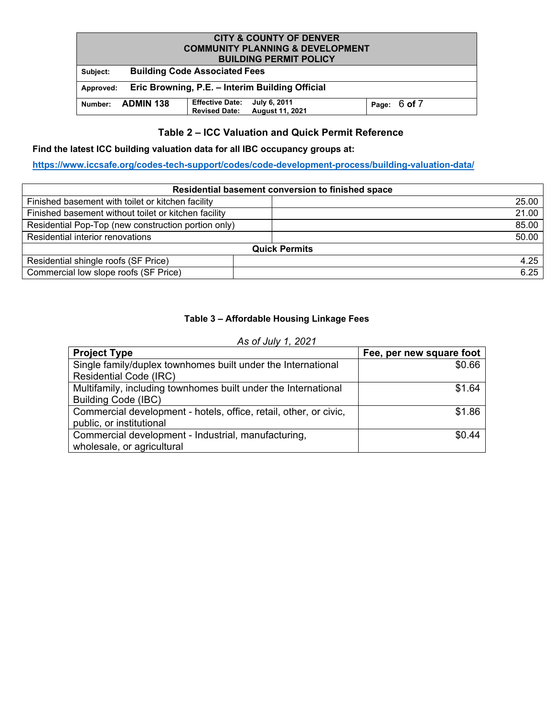# **CITY & COUNTY OF DENVER COMMUNITY PLANNING & DEVELOPMENT BUILDING PERMIT POLICY Subject: Building Code Associated Fees Approved: Eric Browning, P.E. – Interim Building Official Number: ADMIN 138 Effective Date: July 6, 2011 Revised Date: August 11, 2021 Page:** <sup>6</sup> **of** <sup>7</sup>

## **Table 2 – ICC Valuation and Quick Permit Reference**

#### **Find the latest ICC building valuation data for all IBC occupancy groups at:**

**<https://www.iccsafe.org/codes-tech-support/codes/code-development-process/building-valuation-data/>**

|                                                      | Residential basement conversion to finished space |       |
|------------------------------------------------------|---------------------------------------------------|-------|
| Finished basement with toilet or kitchen facility    |                                                   | 25.00 |
| Finished basement without toilet or kitchen facility |                                                   | 21.00 |
| Residential Pop-Top (new construction portion only)  |                                                   | 85.00 |
| Residential interior renovations                     |                                                   | 50.00 |
|                                                      | <b>Quick Permits</b>                              |       |
| Residential shingle roofs (SF Price)                 |                                                   | 4.25  |
| Commercial low slope roofs (SF Price)                |                                                   | 6.25  |

## **Table 3 – Affordable Housing Linkage Fees**

| As of July 1, 2021                                                |                          |
|-------------------------------------------------------------------|--------------------------|
| <b>Project Type</b>                                               | Fee, per new square foot |
| Single family/duplex townhomes built under the International      | \$0.66                   |
| <b>Residential Code (IRC)</b>                                     |                          |
| Multifamily, including townhomes built under the International    | \$1.64                   |
| <b>Building Code (IBC)</b>                                        |                          |
| Commercial development - hotels, office, retail, other, or civic, | \$1.86                   |
| public, or institutional                                          |                          |
| Commercial development - Industrial, manufacturing,               | \$0.44                   |
| wholesale, or agricultural                                        |                          |